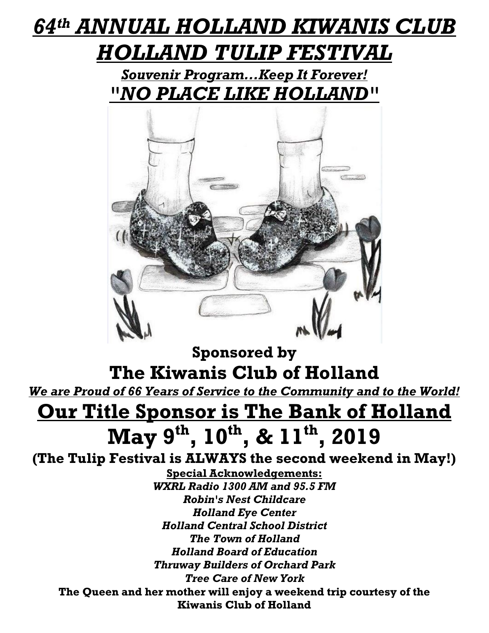### *64th ANNUAL HOLLAND KIWANIS CLUB HOLLAND TULIP FESTIVAL*

*Souvenir Program...Keep It Forever! "NO PLACE LIKE HOLLAND"*



**Sponsored by The Kiwanis Club of Holland**

*We are Proud of 66 Years of Service to the Community and to the World!*

# **Our Title Sponsor is The Bank of Holland May 9 th, 10 th, & 11 th, 2019**

**(The Tulip Festival is ALWAYS the second weekend in May!)**

**Special Acknowledgements:** *WXRL Radio 1300 AM and 95.5 FM Robin's Nest Childcare Holland Eye Center Holland Central School District The Town of Holland Holland Board of Education Thruway Builders of Orchard Park Tree Care of New York* **The Queen and her mother will enjoy a weekend trip courtesy of the Kiwanis Club of Holland**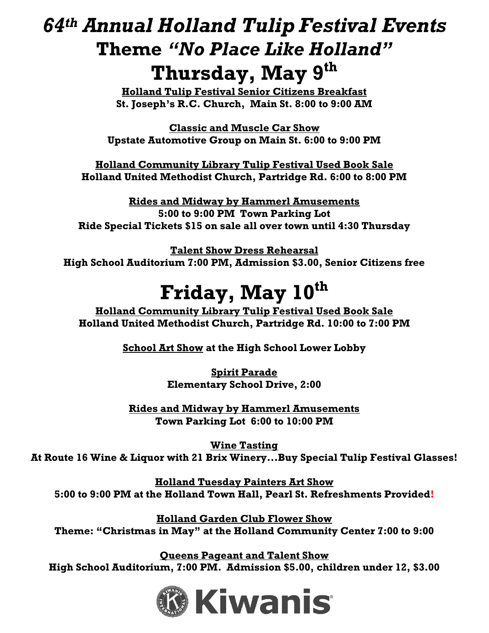#### *64th Annual Holland Tulip Festival Events* **Theme** *"No Place Like Holland"* **Thursday, May 9 th**

**Holland Tulip Festival Senior Citizens Breakfast St. Joseph's R.C. Church, Main St. 8:00 to 9:00 AM** 

**Classic and Muscle Car Show Upstate Automotive Group on Main St. 6:00 to 9:00 PM**

**Holland Community Library Tulip Festival Used Book Sale Holland United Methodist Church, Partridge Rd. 6:00 to 8:00 PM**

**Rides and Midway by Hammerl Amusements 5:00 to 9:00 PM Town Parking Lot Ride Special Tickets \$15 on sale all over town until 4:30 Thursday**

**Talent Show Dress Rehearsal High School Auditorium 7:00 PM, Admission \$3.00, Senior Citizens free**

## **Friday, May 10 th**

**Holland Community Library Tulip Festival Used Book Sale Holland United Methodist Church, Partridge Rd. 10:00 to 7:00 PM**

**School Art Show at the High School Lower Lobby** 

**Spirit Parade Elementary School Drive, 2:00**

**Rides and Midway by Hammerl Amusements Town Parking Lot 6:00 to 10:00 PM**

**Wine Tasting At Route 16 Wine & Liquor with 21 Brix Winery...Buy Special Tulip Festival Glasses!**

**Holland Tuesday Painters Art Show 5:00 to 9:00 PM at the Holland Town Hall, Pearl St. Refreshments Provided!**

**Holland Garden Club Flower Show Theme: "Christmas in May" at the Holland Community Center 7:00 to 9:00** 

**Queens Pageant and Talent Show High School Auditorium, 7:00 PM. Admission \$5.00, children under 12, \$3.00**

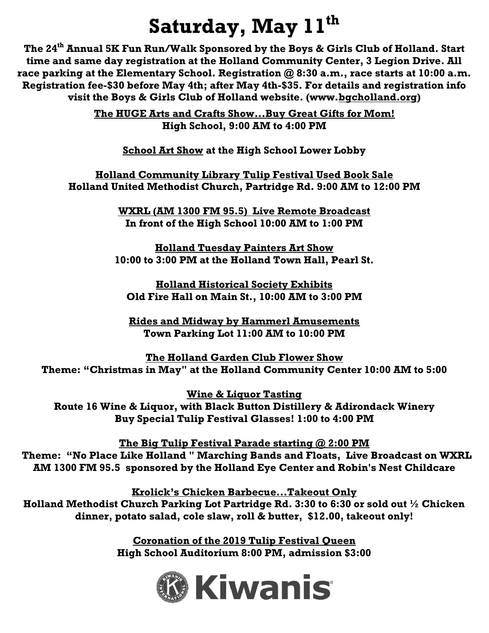# **Saturday, May 11 th**

**The 24th Annual 5K Fun Run/Walk Sponsored by the Boys & Girls Club of Holland. Start time and same day registration at the Holland Community Center, 3 Legion Drive. All race parking at the Elementary School. Registration @ 8:30 a.m., race starts at 10:00 a.m. Registration fee-\$30 before May 4th; after May 4th-\$35. For details and registration info visit the Boys & Girls Club of Holland website. (www[.bgcholland.org\)](http://bgcholland.org/)**

> **The HUGE Arts and Crafts Show...Buy Great Gifts for Mom! High School, 9:00 AM to 4:00 PM**

**School Art Show at the High School Lower Lobby** 

**Holland Community Library Tulip Festival Used Book Sale Holland United Methodist Church, Partridge Rd. 9:00 AM to 12:00 PM**

> **WXRL (AM 1300 FM 95.5) Live Remote Broadcast In front of the High School 10:00 AM to 1:00 PM**

**Holland Tuesday Painters Art Show 10:00 to 3:00 PM at the Holland Town Hall, Pearl St.**

**Holland Historical Society Exhibits Old Fire Hall on Main St., 10:00 AM to 3:00 PM**

**Rides and Midway by Hammerl Amusements Town Parking Lot 11:00 AM to 10:00 PM**

**The Holland Garden Club Flower Show Theme: "Christmas in May" at the Holland Community Center 10:00 AM to 5:00**

**Wine & Liquor Tasting Route 16 Wine & Liquor, with Black Button Distillery & Adirondack Winery Buy Special Tulip Festival Glasses! 1:00 to 4:00 PM**

**The Big Tulip Festival Parade starting @ 2:00 PM Theme: "No Place Like Holland " Marching Bands and Floats, Live Broadcast on WXRL AM 1300 FM 95.5 sponsored by the Holland Eye Center and Robin's Nest Childcare**

**Krolick's Chicken Barbecue...Takeout Only Holland Methodist Church Parking Lot Partridge Rd. 3:30 to 6:30 or sold out ½ Chicken dinner, potato salad, cole slaw, roll & butter, \$12.00, takeout only!**

> **Coronation of the 2019 Tulip Festival Queen High School Auditorium 8:00 PM, admission \$3:00**